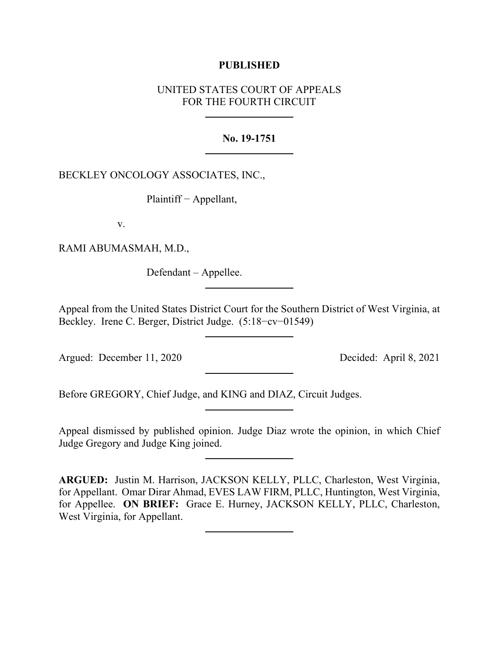# **PUBLISHED**

# UNITED STATES COURT OF APPEALS FOR THE FOURTH CIRCUIT

# **No. 19-1751**

BECKLEY ONCOLOGY ASSOCIATES, INC.,

Plaintiff − Appellant,

v.

RAMI ABUMASMAH, M.D.,

Defendant – Appellee.

Appeal from the United States District Court for the Southern District of West Virginia, at Beckley. Irene C. Berger, District Judge. (5:18−cv−01549)

Argued: December 11, 2020 Decided: April 8, 2021

Before GREGORY, Chief Judge, and KING and DIAZ, Circuit Judges.

Appeal dismissed by published opinion. Judge Diaz wrote the opinion, in which Chief Judge Gregory and Judge King joined.

**ARGUED:** Justin M. Harrison, JACKSON KELLY, PLLC, Charleston, West Virginia, for Appellant. Omar Dirar Ahmad, EVES LAW FIRM, PLLC, Huntington, West Virginia, for Appellee. **ON BRIEF:** Grace E. Hurney, JACKSON KELLY, PLLC, Charleston, West Virginia, for Appellant.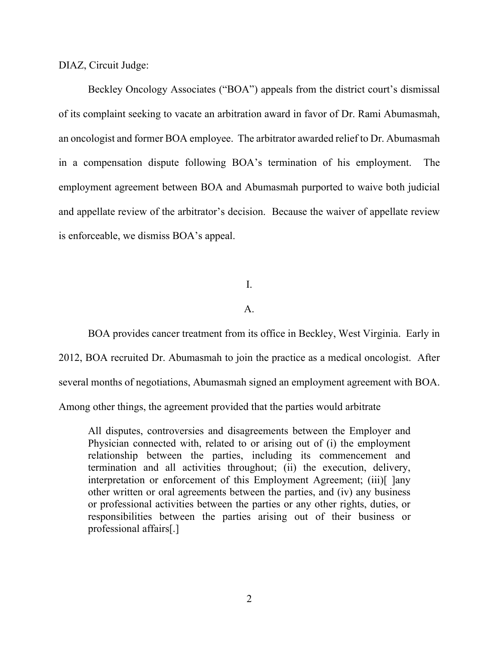DIAZ, Circuit Judge:

Beckley Oncology Associates ("BOA") appeals from the district court's dismissal of its complaint seeking to vacate an arbitration award in favor of Dr. Rami Abumasmah, an oncologist and former BOA employee. The arbitrator awarded relief to Dr. Abumasmah in a compensation dispute following BOA's termination of his employment. The employment agreement between BOA and Abumasmah purported to waive both judicial and appellate review of the arbitrator's decision. Because the waiver of appellate review is enforceable, we dismiss BOA's appeal.

I.

## A.

BOA provides cancer treatment from its office in Beckley, West Virginia. Early in 2012, BOA recruited Dr. Abumasmah to join the practice as a medical oncologist. After several months of negotiations, Abumasmah signed an employment agreement with BOA. Among other things, the agreement provided that the parties would arbitrate

All disputes, controversies and disagreements between the Employer and Physician connected with, related to or arising out of (i) the employment relationship between the parties, including its commencement and termination and all activities throughout; (ii) the execution, delivery, interpretation or enforcement of this Employment Agreement; (iii)[ ]any other written or oral agreements between the parties, and (iv) any business or professional activities between the parties or any other rights, duties, or responsibilities between the parties arising out of their business or professional affairs[.]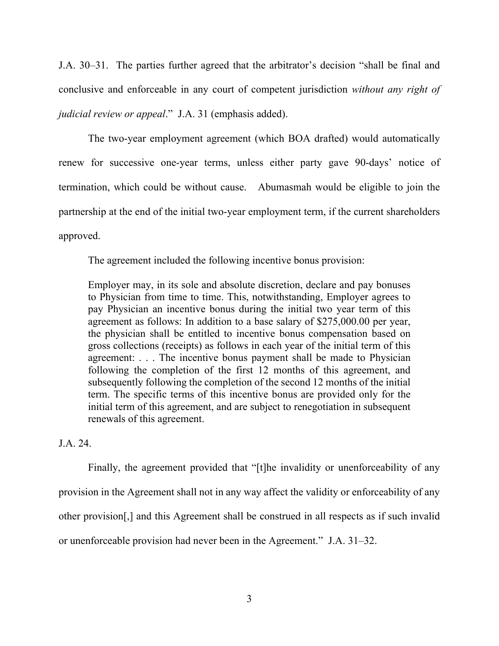J.A. 30–31. The parties further agreed that the arbitrator's decision "shall be final and conclusive and enforceable in any court of competent jurisdiction *without any right of judicial review or appeal*." J.A. 31 (emphasis added).

The two-year employment agreement (which BOA drafted) would automatically renew for successive one-year terms, unless either party gave 90-days' notice of termination, which could be without cause. Abumasmah would be eligible to join the partnership at the end of the initial two-year employment term, if the current shareholders approved.

The agreement included the following incentive bonus provision:

Employer may, in its sole and absolute discretion, declare and pay bonuses to Physician from time to time. This, notwithstanding, Employer agrees to pay Physician an incentive bonus during the initial two year term of this agreement as follows: In addition to a base salary of \$275,000.00 per year, the physician shall be entitled to incentive bonus compensation based on gross collections (receipts) as follows in each year of the initial term of this agreement: . . . The incentive bonus payment shall be made to Physician following the completion of the first 12 months of this agreement, and subsequently following the completion of the second 12 months of the initial term. The specific terms of this incentive bonus are provided only for the initial term of this agreement, and are subject to renegotiation in subsequent renewals of this agreement.

# J.A. 24.

Finally, the agreement provided that "[t]he invalidity or unenforceability of any provision in the Agreement shall not in any way affect the validity or enforceability of any other provision[,] and this Agreement shall be construed in all respects as if such invalid or unenforceable provision had never been in the Agreement." J.A. 31–32.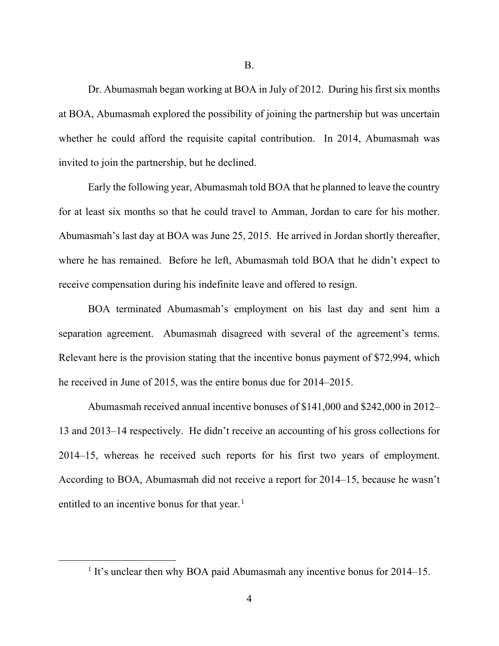B.

Dr. Abumasmah began working at BOA in July of 2012. During his first six months at BOA, Abumasmah explored the possibility of joining the partnership but was uncertain whether he could afford the requisite capital contribution. In 2014, Abumasmah was invited to join the partnership, but he declined.

Early the following year, Abumasmah told BOA that he planned to leave the country for at least six months so that he could travel to Amman, Jordan to care for his mother. Abumasmah's last day at BOA was June 25, 2015. He arrived in Jordan shortly thereafter, where he has remained. Before he left, Abumasmah told BOA that he didn't expect to receive compensation during his indefinite leave and offered to resign.

BOA terminated Abumasmah's employment on his last day and sent him a separation agreement. Abumasmah disagreed with several of the agreement's terms. Relevant here is the provision stating that the incentive bonus payment of \$72,994, which he received in June of 2015, was the entire bonus due for 2014–2015.

Abumasmah received annual incentive bonuses of \$141,000 and \$242,000 in 2012– 13 and 2013–14 respectively. He didn't receive an accounting of his gross collections for 2014–15, whereas he received such reports for his first two years of employment. According to BOA, Abumasmah did not receive a report for 2014–15, because he wasn't entitled to an incentive bonus for that year. $<sup>1</sup>$  $<sup>1</sup>$  $<sup>1</sup>$ </sup>

<span id="page-3-0"></span><sup>&</sup>lt;sup>1</sup> It's unclear then why BOA paid Abumasmah any incentive bonus for  $2014-15$ .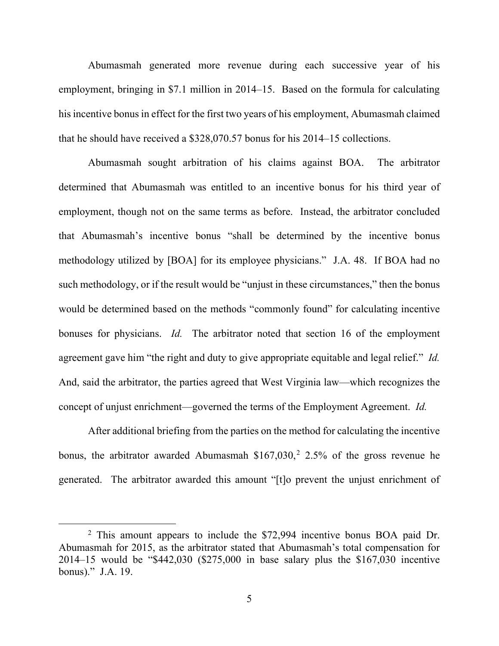Abumasmah generated more revenue during each successive year of his employment, bringing in \$7.1 million in 2014–15. Based on the formula for calculating his incentive bonus in effect for the first two years of his employment, Abumasmah claimed that he should have received a \$328,070.57 bonus for his 2014–15 collections.

Abumasmah sought arbitration of his claims against BOA. The arbitrator determined that Abumasmah was entitled to an incentive bonus for his third year of employment, though not on the same terms as before. Instead, the arbitrator concluded that Abumasmah's incentive bonus "shall be determined by the incentive bonus methodology utilized by [BOA] for its employee physicians." J.A. 48. If BOA had no such methodology, or if the result would be "unjust in these circumstances," then the bonus would be determined based on the methods "commonly found" for calculating incentive bonuses for physicians. *Id.* The arbitrator noted that section 16 of the employment agreement gave him "the right and duty to give appropriate equitable and legal relief." *Id.* And, said the arbitrator, the parties agreed that West Virginia law—which recognizes the concept of unjust enrichment—governed the terms of the Employment Agreement. *Id.*

After additional briefing from the parties on the method for calculating the incentive bonus, the arbitrator awarded Abumasmah  $$167,030,^2$  $$167,030,^2$  2.5% of the gross revenue he generated. The arbitrator awarded this amount "[t]o prevent the unjust enrichment of

<span id="page-4-0"></span><sup>&</sup>lt;sup>2</sup> This amount appears to include the \$72,994 incentive bonus BOA paid Dr. Abumasmah for 2015, as the arbitrator stated that Abumasmah's total compensation for 2014–15 would be "\$442,030 (\$275,000 in base salary plus the \$167,030 incentive bonus)." J.A. 19.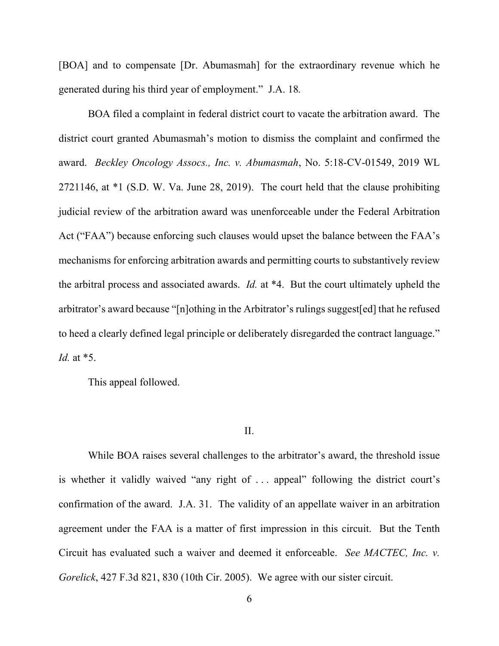[BOA] and to compensate [Dr. Abumasmah] for the extraordinary revenue which he generated during his third year of employment." J.A. 18*.*

BOA filed a complaint in federal district court to vacate the arbitration award. The district court granted Abumasmah's motion to dismiss the complaint and confirmed the award. *Beckley Oncology Assocs., Inc. v. Abumasmah*, No. 5:18-CV-01549, 2019 WL 2721146, at \*1 (S.D. W. Va. June 28, 2019). The court held that the clause prohibiting judicial review of the arbitration award was unenforceable under the Federal Arbitration Act ("FAA") because enforcing such clauses would upset the balance between the FAA's mechanisms for enforcing arbitration awards and permitting courts to substantively review the arbitral process and associated awards. *Id.* at \*4. But the court ultimately upheld the arbitrator's award because "[n]othing in the Arbitrator's rulings suggest[ed] that he refused to heed a clearly defined legal principle or deliberately disregarded the contract language." *Id.* at \*5.

This appeal followed.

#### II.

While BOA raises several challenges to the arbitrator's award, the threshold issue is whether it validly waived "any right of . . . appeal" following the district court's confirmation of the award. J.A. 31. The validity of an appellate waiver in an arbitration agreement under the FAA is a matter of first impression in this circuit. But the Tenth Circuit has evaluated such a waiver and deemed it enforceable. *See MACTEC, Inc. v. Gorelick*, 427 F.3d 821, 830 (10th Cir. 2005). We agree with our sister circuit.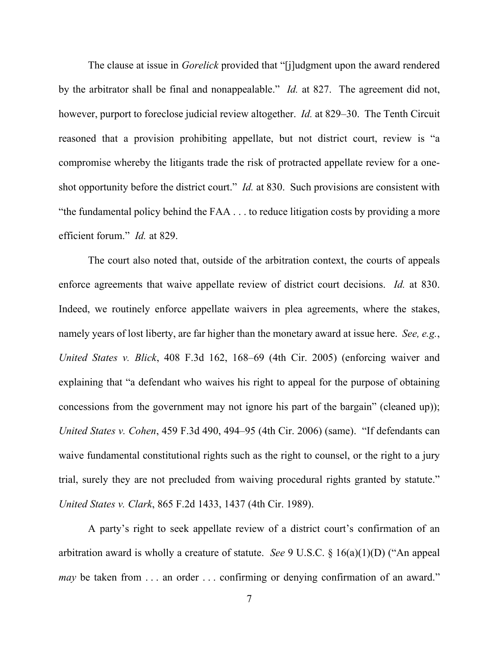The clause at issue in *Gorelick* provided that "[j]udgment upon the award rendered by the arbitrator shall be final and nonappealable." *Id.* at 827. The agreement did not, however, purport to foreclose judicial review altogether. *Id.* at 829–30. The Tenth Circuit reasoned that a provision prohibiting appellate, but not district court, review is "a compromise whereby the litigants trade the risk of protracted appellate review for a oneshot opportunity before the district court." *Id.* at 830. Such provisions are consistent with "the fundamental policy behind the FAA . . . to reduce litigation costs by providing a more efficient forum." *Id.* at 829.

The court also noted that, outside of the arbitration context, the courts of appeals enforce agreements that waive appellate review of district court decisions. *Id.* at 830. Indeed, we routinely enforce appellate waivers in plea agreements, where the stakes, namely years of lost liberty, are far higher than the monetary award at issue here. *See, e.g.*, *United States v. Blick*, 408 F.3d 162, 168–69 (4th Cir. 2005) (enforcing waiver and explaining that "a defendant who waives his right to appeal for the purpose of obtaining concessions from the government may not ignore his part of the bargain" (cleaned up)); *United States v. Cohen*, 459 F.3d 490, 494–95 (4th Cir. 2006) (same). "If defendants can waive fundamental constitutional rights such as the right to counsel, or the right to a jury trial, surely they are not precluded from waiving procedural rights granted by statute." *United States v. Clark*, 865 F.2d 1433, 1437 (4th Cir. 1989).

A party's right to seek appellate review of a district court's confirmation of an arbitration award is wholly a creature of statute. *See* 9 U.S.C. § 16(a)(1)(D) ("An appeal *may* be taken from ... an order ... confirming or denying confirmation of an award."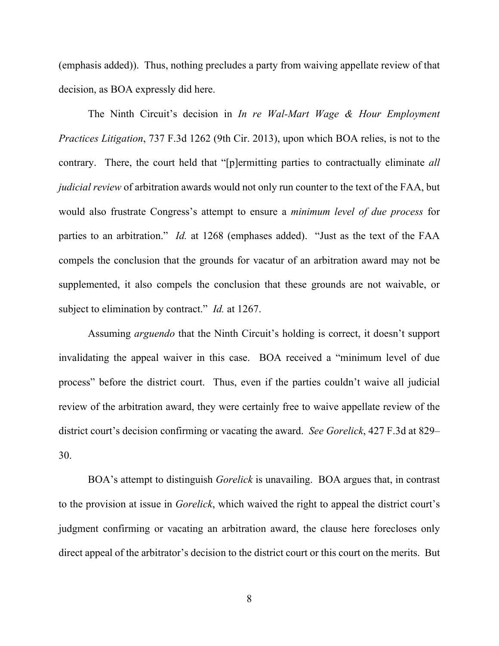(emphasis added)). Thus, nothing precludes a party from waiving appellate review of that decision, as BOA expressly did here.

The Ninth Circuit's decision in *In re Wal-Mart Wage & Hour Employment Practices Litigation*, 737 F.3d 1262 (9th Cir. 2013), upon which BOA relies, is not to the contrary. There, the court held that "[p]ermitting parties to contractually eliminate *all judicial review* of arbitration awards would not only run counter to the text of the FAA, but would also frustrate Congress's attempt to ensure a *minimum level of due process* for parties to an arbitration." *Id.* at 1268 (emphases added). "Just as the text of the FAA compels the conclusion that the grounds for vacatur of an arbitration award may not be supplemented, it also compels the conclusion that these grounds are not waivable, or subject to elimination by contract." *Id.* at 1267.

Assuming *arguendo* that the Ninth Circuit's holding is correct, it doesn't support invalidating the appeal waiver in this case. BOA received a "minimum level of due process" before the district court. Thus, even if the parties couldn't waive all judicial review of the arbitration award, they were certainly free to waive appellate review of the district court's decision confirming or vacating the award. *See Gorelick*, 427 F.3d at 829– 30.

BOA's attempt to distinguish *Gorelick* is unavailing. BOA argues that, in contrast to the provision at issue in *Gorelick*, which waived the right to appeal the district court's judgment confirming or vacating an arbitration award, the clause here forecloses only direct appeal of the arbitrator's decision to the district court or this court on the merits. But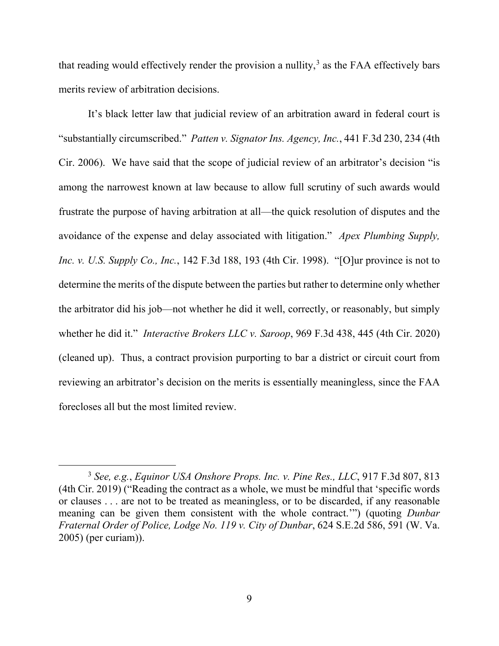that reading would effectively render the provision a nullity, $3$  as the FAA effectively bars merits review of arbitration decisions.

It's black letter law that judicial review of an arbitration award in federal court is "substantially circumscribed." *Patten v. Signator Ins. Agency, Inc.*, 441 F.3d 230, 234 (4th Cir. 2006). We have said that the scope of judicial review of an arbitrator's decision "is among the narrowest known at law because to allow full scrutiny of such awards would frustrate the purpose of having arbitration at all—the quick resolution of disputes and the avoidance of the expense and delay associated with litigation." *Apex Plumbing Supply, Inc. v. U.S. Supply Co., Inc.*, 142 F.3d 188, 193 (4th Cir. 1998). "[O]ur province is not to determine the merits of the dispute between the parties but rather to determine only whether the arbitrator did his job—not whether he did it well, correctly, or reasonably, but simply whether he did it." *Interactive Brokers LLC v. Saroop*, 969 F.3d 438, 445 (4th Cir. 2020) (cleaned up). Thus, a contract provision purporting to bar a district or circuit court from reviewing an arbitrator's decision on the merits is essentially meaningless, since the FAA forecloses all but the most limited review.

<span id="page-8-0"></span><sup>3</sup> *See, e.g.*, *Equinor USA Onshore Props. Inc. v. Pine Res., LLC*, 917 F.3d 807, 813 (4th Cir. 2019) ("Reading the contract as a whole, we must be mindful that 'specific words or clauses . . . are not to be treated as meaningless, or to be discarded, if any reasonable meaning can be given them consistent with the whole contract.'") (quoting *Dunbar Fraternal Order of Police, Lodge No. 119 v. City of Dunbar*, 624 S.E.2d 586, 591 (W. Va. 2005) (per curiam)).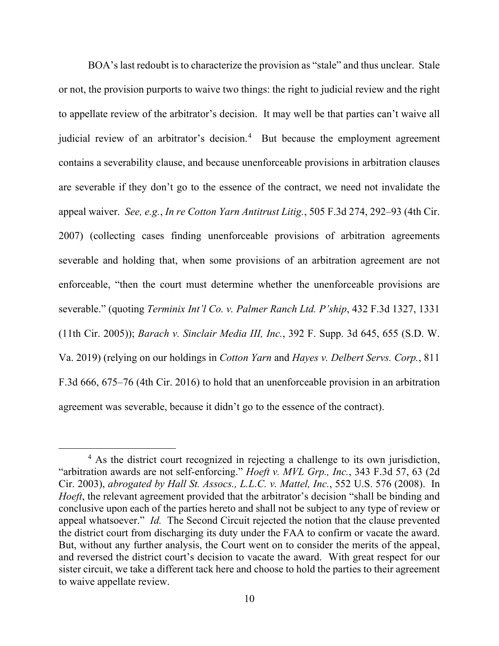BOA's last redoubt is to characterize the provision as "stale" and thus unclear. Stale or not, the provision purports to waive two things: the right to judicial review and the right to appellate review of the arbitrator's decision. It may well be that parties can't waive all judicial review of an arbitrator's decision. [4](#page-9-0) But because the employment agreement contains a severability clause, and because unenforceable provisions in arbitration clauses are severable if they don't go to the essence of the contract, we need not invalidate the appeal waiver. *See, e.g.*, *In re Cotton Yarn Antitrust Litig.*, 505 F.3d 274, 292–93 (4th Cir. 2007) (collecting cases finding unenforceable provisions of arbitration agreements severable and holding that, when some provisions of an arbitration agreement are not enforceable, "then the court must determine whether the unenforceable provisions are severable." (quoting *Terminix Int'l Co. v. Palmer Ranch Ltd. P'ship*, 432 F.3d 1327, 1331 (11th Cir. 2005)); *Barach v. Sinclair Media III, Inc.*, 392 F. Supp. 3d 645, 655 (S.D. W. Va. 2019) (relying on our holdings in *Cotton Yarn* and *Hayes v. Delbert Servs. Corp.*, 811 F.3d 666, 675–76 (4th Cir. 2016) to hold that an unenforceable provision in an arbitration agreement was severable, because it didn't go to the essence of the contract).

<span id="page-9-0"></span><sup>&</sup>lt;sup>4</sup> As the district court recognized in rejecting a challenge to its own jurisdiction, "arbitration awards are not self-enforcing." *Hoeft v. MVL Grp., Inc.*, 343 F.3d 57, 63 (2d Cir. 2003), *abrogated by Hall St. Assocs., L.L.C. v. Mattel, Inc.*, 552 U.S. 576 (2008). In *Hoeft*, the relevant agreement provided that the arbitrator's decision "shall be binding and conclusive upon each of the parties hereto and shall not be subject to any type of review or appeal whatsoever." *Id.* The Second Circuit rejected the notion that the clause prevented the district court from discharging its duty under the FAA to confirm or vacate the award. But, without any further analysis, the Court went on to consider the merits of the appeal, and reversed the district court's decision to vacate the award. With great respect for our sister circuit, we take a different tack here and choose to hold the parties to their agreement to waive appellate review.